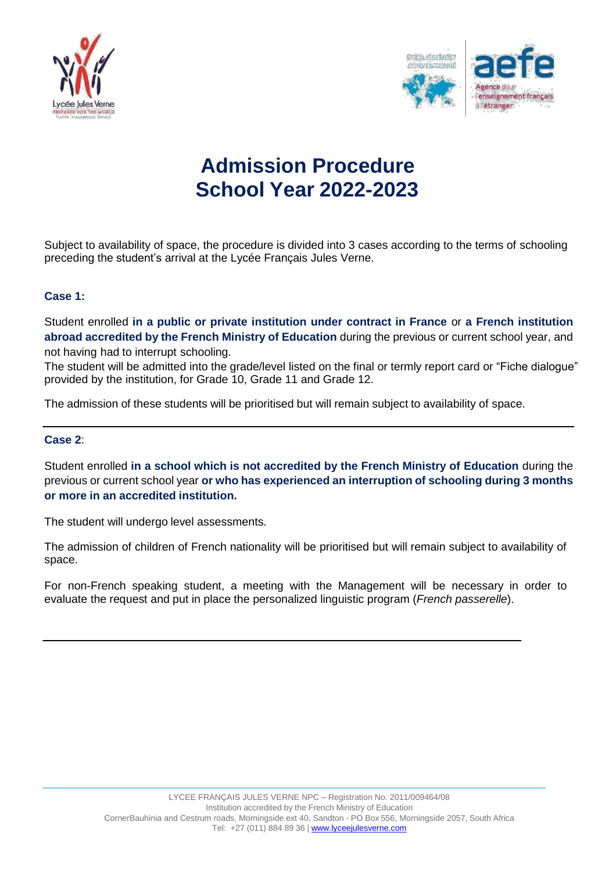



# **Admission Procedure School Year 2022-2023**

Subject to availability of space, the procedure is divided into 3 cases according to the terms of schooling preceding the student's arrival at the Lycée Français Jules Verne.

## **Case 1:**

Student enrolled **in a public or private institution under contract in France** or **a French institution abroad accredited by the French Ministry of Education** during the previous or current school year, and not having had to interrupt schooling.

The student will be admitted into the grade/level listed on the final or termly report card or "Fiche dialogue" provided by the institution, for Grade 10, Grade 11 and Grade 12.

The admission of these students will be prioritised but will remain subject to availability of space.

#### **Case 2**:

Student enrolled **in a school which is not accredited by the French Ministry of Education** during the previous or current school year **or who has experienced an interruption of schooling during 3 months or more in an accredited institution.**

The student will undergo level assessments.

The admission of children of French nationality will be prioritised but will remain subject to availability of space.

For non-French speaking student, a meeting with the Management will be necessary in order to evaluate the request and put in place the personalized linguistic program (*French passerelle*).